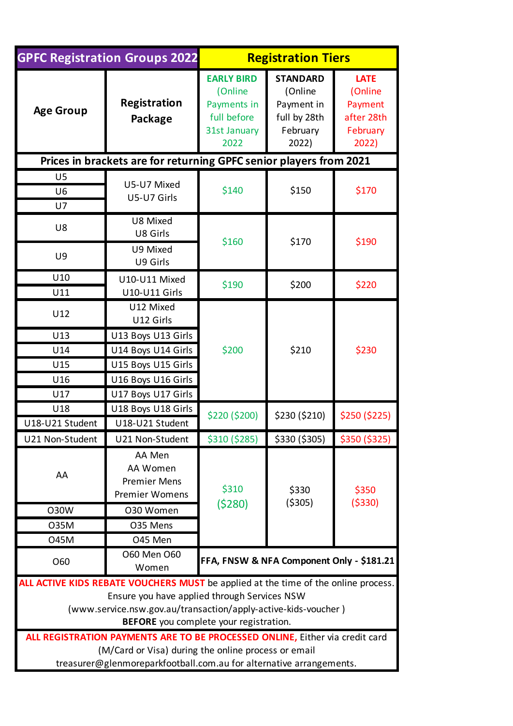| <b>GPFC Registration Groups 2022</b>                                                                                                                                                                                                                                                                                           |                                                                    | <b>Registration Tiers</b>                                                          |                                                                               |                                                                      |
|--------------------------------------------------------------------------------------------------------------------------------------------------------------------------------------------------------------------------------------------------------------------------------------------------------------------------------|--------------------------------------------------------------------|------------------------------------------------------------------------------------|-------------------------------------------------------------------------------|----------------------------------------------------------------------|
| <b>Age Group</b>                                                                                                                                                                                                                                                                                                               | <b>Registration</b><br>Package                                     | <b>EARLY BIRD</b><br>(Online<br>Payments in<br>full before<br>31st January<br>2022 | <b>STANDARD</b><br>(Online<br>Payment in<br>full by 28th<br>February<br>2022) | <b>LATE</b><br>(Online<br>Payment<br>after 28th<br>February<br>2022) |
| Prices in brackets are for returning GPFC senior players from 2021                                                                                                                                                                                                                                                             |                                                                    |                                                                                    |                                                                               |                                                                      |
| U <sub>5</sub>                                                                                                                                                                                                                                                                                                                 |                                                                    |                                                                                    |                                                                               |                                                                      |
| U <sub>6</sub>                                                                                                                                                                                                                                                                                                                 | U5-U7 Mixed<br>U5-U7 Girls                                         | \$140                                                                              | \$150                                                                         | \$170                                                                |
| U7                                                                                                                                                                                                                                                                                                                             |                                                                    |                                                                                    |                                                                               |                                                                      |
| U8                                                                                                                                                                                                                                                                                                                             | U8 Mixed<br>U8 Girls                                               | \$160                                                                              | \$170                                                                         | \$190                                                                |
| U9                                                                                                                                                                                                                                                                                                                             | U9 Mixed<br>U9 Girls                                               |                                                                                    |                                                                               |                                                                      |
| U10                                                                                                                                                                                                                                                                                                                            | U10-U11 Mixed                                                      | \$190                                                                              | \$200                                                                         | \$220                                                                |
| U11                                                                                                                                                                                                                                                                                                                            | <b>U10-U11 Girls</b>                                               |                                                                                    |                                                                               |                                                                      |
| U12                                                                                                                                                                                                                                                                                                                            | U12 Mixed<br>U12 Girls                                             | \$200                                                                              | \$210                                                                         | \$230                                                                |
| U13                                                                                                                                                                                                                                                                                                                            | U13 Boys U13 Girls                                                 |                                                                                    |                                                                               |                                                                      |
| U14                                                                                                                                                                                                                                                                                                                            | U14 Boys U14 Girls                                                 |                                                                                    |                                                                               |                                                                      |
| U15                                                                                                                                                                                                                                                                                                                            | U15 Boys U15 Girls                                                 |                                                                                    |                                                                               |                                                                      |
| U16                                                                                                                                                                                                                                                                                                                            | U16 Boys U16 Girls                                                 |                                                                                    |                                                                               |                                                                      |
| U17                                                                                                                                                                                                                                                                                                                            | U17 Boys U17 Girls                                                 |                                                                                    |                                                                               |                                                                      |
| U18                                                                                                                                                                                                                                                                                                                            | U18 Boys U18 Girls                                                 | \$220 (\$200)                                                                      | \$230 (\$210)                                                                 | \$250 (\$225)                                                        |
| U18-U21 Student                                                                                                                                                                                                                                                                                                                | U18-U21 Student                                                    |                                                                                    |                                                                               |                                                                      |
| U21 Non-Student                                                                                                                                                                                                                                                                                                                | U21 Non-Student                                                    | \$310 (\$285)                                                                      |                                                                               | $$330 ($305)$ $$350 ($325)$                                          |
| AA                                                                                                                                                                                                                                                                                                                             | AA Men<br>AA Women<br><b>Premier Mens</b><br><b>Premier Womens</b> | \$310<br>(5280)                                                                    | \$330<br>( \$305)                                                             | \$350<br>( \$330)                                                    |
| <b>O30W</b>                                                                                                                                                                                                                                                                                                                    | 030 Women                                                          |                                                                                    |                                                                               |                                                                      |
| 035M                                                                                                                                                                                                                                                                                                                           | O35 Mens                                                           |                                                                                    |                                                                               |                                                                      |
| 045M                                                                                                                                                                                                                                                                                                                           | O45 Men                                                            |                                                                                    |                                                                               |                                                                      |
| O60                                                                                                                                                                                                                                                                                                                            | 060 Men 060<br>Women                                               | FFA, FNSW & NFA Component Only - \$181.21                                          |                                                                               |                                                                      |
| ALL ACTIVE KIDS REBATE VOUCHERS MUST be applied at the time of the online process.<br>Ensure you have applied through Services NSW<br>(www.service.nsw.gov.au/transaction/apply-active-kids-voucher)<br>BEFORE you complete your registration.<br>ALL REGISTRATION PAYMENTS ARE TO BE PROCESSED ONLINE, Either via credit card |                                                                    |                                                                                    |                                                                               |                                                                      |
| (M/Card or Visa) during the online process or email<br>treasurer@glenmoreparkfootball.com.au for alternative arrangements.                                                                                                                                                                                                     |                                                                    |                                                                                    |                                                                               |                                                                      |